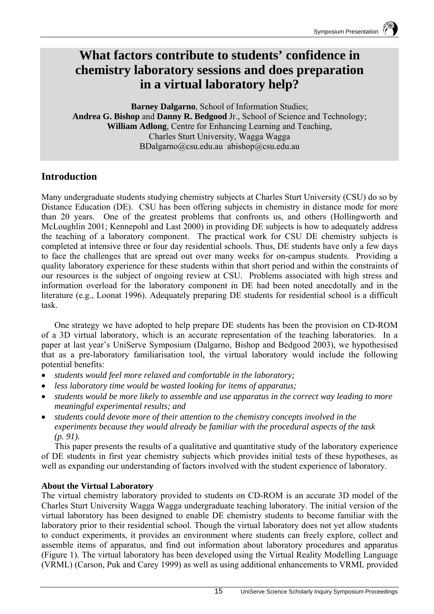# **What factors contribute to students' confidence in chemistry laboratory sessions and does preparation in a virtual laboratory help?**

**Barney Dalgarno**, School of Information Studies; **Andrea G. Bishop** and **Danny R. Bedgood** Jr., School of Science and Technology; **William Adlong**, Centre for Enhancing Learning and Teaching, Charles Sturt University, Wagga Wagga BDalgarno@csu.edu.au abishop@csu.edu.au

## **Introduction**

Many undergraduate students studying chemistry subjects at Charles Sturt University (CSU) do so by Distance Education (DE). CSU has been offering subjects in chemistry in distance mode for more than 20 years. One of the greatest problems that confronts us, and others (Hollingworth and McLoughlin 2001; Kennepohl and Last 2000) in providing DE subjects is how to adequately address the teaching of a laboratory component. The practical work for CSU DE chemistry subjects is completed at intensive three or four day residential schools. Thus, DE students have only a few days to face the challenges that are spread out over many weeks for on-campus students. Providing a quality laboratory experience for these students within that short period and within the constraints of our resources is the subject of ongoing review at CSU. Problems associated with high stress and information overload for the laboratory component in DE had been noted anecdotally and in the literature (e.g., Loonat 1996). Adequately preparing DE students for residential school is a difficult task.

One strategy we have adopted to help prepare DE students has been the provision on CD-ROM of a 3D virtual laboratory, which is an accurate representation of the teaching laboratories. In a paper at last year's UniServe Symposium (Dalgarno, Bishop and Bedgood 2003), we hypothesised that as a pre-laboratory familiarisation tool, the virtual laboratory would include the following potential benefits:

- *students would feel more relaxed and comfortable in the laboratory;*
- *less laboratory time would be wasted looking for items of apparatus;*
- *students would be more likely to assemble and use apparatus in the correct way leading to more meaningful experimental results; and*
- *students could devote more of their attention to the chemistry concepts involved in the experiments because they would already be familiar with the procedural aspects of the task (p. 91).*

This paper presents the results of a qualitative and quantitative study of the laboratory experience of DE students in first year chemistry subjects which provides initial tests of these hypotheses, as well as expanding our understanding of factors involved with the student experience of laboratory.

### **About the Virtual Laboratory**

The virtual chemistry laboratory provided to students on CD-ROM is an accurate 3D model of the Charles Sturt University Wagga Wagga undergraduate teaching laboratory. The initial version of the virtual laboratory has been designed to enable DE chemistry students to become familiar with the laboratory prior to their residential school. Though the virtual laboratory does not yet allow students to conduct experiments, it provides an environment where students can freely explore, collect and assemble items of apparatus, and find out information about laboratory procedures and apparatus (Figure 1). The virtual laboratory has been developed using the Virtual Reality Modelling Language (VRML) (Carson, Puk and Carey 1999) as well as using additional enhancements to VRML provided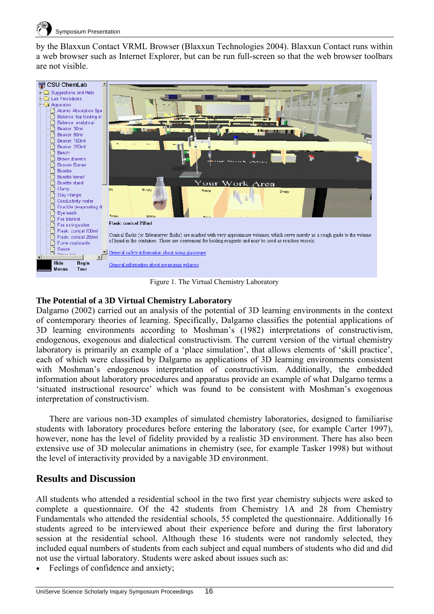

by the Blaxxun Contact VRML Browser (Blaxxun Technologies 2004). Blaxxun Contact runs within a web browser such as Internet Explorer, but can be run full-screen so that the web browser toolbars are not visible.



Figure 1. The Virtual Chemistry Laboratory

#### **The Potential of a 3D Virtual Chemistry Laboratory**

Dalgarno (2002) carried out an analysis of the potential of 3D learning environments in the context of contemporary theories of learning. Specifically, Dalgarno classifies the potential applications of 3D learning environments according to Moshman's (1982) interpretations of constructivism, endogenous, exogenous and dialectical constructivism. The current version of the virtual chemistry laboratory is primarily an example of a 'place simulation', that allows elements of 'skill practice', each of which were classified by Dalgarno as applications of 3D learning environments consistent with Moshman's endogenous interpretation of constructivism. Additionally, the embedded information about laboratory procedures and apparatus provide an example of what Dalgarno terms a 'situated instructional resource' which was found to be consistent with Moshman's exogenous interpretation of constructivism.

There are various non-3D examples of simulated chemistry laboratories, designed to familiarise students with laboratory procedures before entering the laboratory (see, for example Carter 1997), however, none has the level of fidelity provided by a realistic 3D environment. There has also been extensive use of 3D molecular animations in chemistry (see, for example Tasker 1998) but without the level of interactivity provided by a navigable 3D environment.

#### **Results and Discussion**

All students who attended a residential school in the two first year chemistry subjects were asked to complete a questionnaire. Of the 42 students from Chemistry 1A and 28 from Chemistry Fundamentals who attended the residential schools, 55 completed the questionnaire. Additionally 16 students agreed to be interviewed about their experience before and during the first laboratory session at the residential school. Although these 16 students were not randomly selected, they included equal numbers of students from each subject and equal numbers of students who did and did not use the virtual laboratory. Students were asked about issues such as:

Feelings of confidence and anxiety;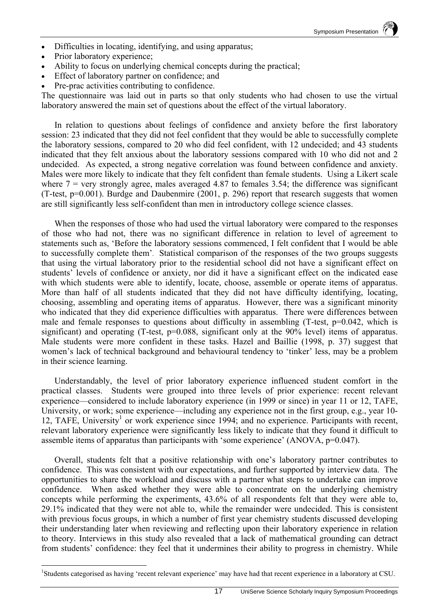- Difficulties in locating, identifying, and using apparatus;
- Prior laboratory experience;

 $\overline{a}$ 

- Ability to focus on underlying chemical concepts during the practical;
- Effect of laboratory partner on confidence; and
- Pre-prac activities contributing to confidence.

The questionnaire was laid out in parts so that only students who had chosen to use the virtual laboratory answered the main set of questions about the effect of the virtual laboratory.

In relation to questions about feelings of confidence and anxiety before the first laboratory session: 23 indicated that they did not feel confident that they would be able to successfully complete the laboratory sessions, compared to 20 who did feel confident, with 12 undecided; and 43 students indicated that they felt anxious about the laboratory sessions compared with 10 who did not and 2 undecided. As expected, a strong negative correlation was found between confidence and anxiety. Males were more likely to indicate that they felt confident than female students. Using a Likert scale where  $7$  = very strongly agree, males averaged 4.87 to females 3.54; the difference was significant (T-test, p=0.001). Burdge and Daubenmire (2001, p. 296) report that research suggests that women are still significantly less self-confident than men in introductory college science classes.

When the responses of those who had used the virtual laboratory were compared to the responses of those who had not, there was no significant difference in relation to level of agreement to statements such as, 'Before the laboratory sessions commenced, I felt confident that I would be able to successfully complete them'. Statistical comparison of the responses of the two groups suggests that using the virtual laboratory prior to the residential school did not have a significant effect on students' levels of confidence or anxiety, nor did it have a significant effect on the indicated ease with which students were able to identify, locate, choose, assemble or operate items of apparatus. More than half of all students indicated that they did not have difficulty identifying, locating, choosing, assembling and operating items of apparatus. However, there was a significant minority who indicated that they did experience difficulties with apparatus. There were differences between male and female responses to questions about difficulty in assembling  $(T-test, p=0.042,$  which is significant) and operating (T-test, p=0.088, significant only at the 90% level) items of apparatus. Male students were more confident in these tasks. Hazel and Baillie (1998, p. 37) suggest that women's lack of technical background and behavioural tendency to 'tinker' less, may be a problem in their science learning.

Understandably, the level of prior laboratory experience influenced student comfort in the practical classes. Students were grouped into three levels of prior experience: recent relevant experience—considered to include laboratory experience (in 1999 or since) in year 11 or 12, TAFE, University, or work; some experience—including any experience not in the first group, e.g., year 10-12, TAFE, University<sup>1</sup> or work experience since 1994; and no experience. Participants with recent, relevant laboratory experience were significantly less likely to indicate that they found it difficult to assemble items of apparatus than participants with 'some experience' (ANOVA, p=0.047).

Overall, students felt that a positive relationship with one's laboratory partner contributes to confidence. This was consistent with our expectations, and further supported by interview data. The opportunities to share the workload and discuss with a partner what steps to undertake can improve confidence. When asked whether they were able to concentrate on the underlying chemistry concepts while performing the experiments, 43.6% of all respondents felt that they were able to, 29.1% indicated that they were not able to, while the remainder were undecided. This is consistent with previous focus groups, in which a number of first year chemistry students discussed developing their understanding later when reviewing and reflecting upon their laboratory experience in relation to theory. Interviews in this study also revealed that a lack of mathematical grounding can detract from students' confidence: they feel that it undermines their ability to progress in chemistry. While

<sup>&</sup>lt;sup>1</sup>Students categorised as having 'recent relevant experience' may have had that recent experience in a laboratory at CSU.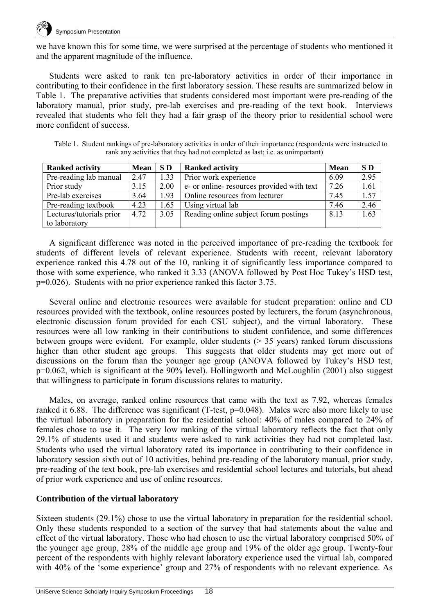

we have known this for some time, we were surprised at the percentage of students who mentioned it and the apparent magnitude of the influence.

Students were asked to rank ten pre-laboratory activities in order of their importance in contributing to their confidence in the first laboratory session. These results are summarized below in Table 1. The preparative activities that students considered most important were pre-reading of the laboratory manual, prior study, pre-lab exercises and pre-reading of the text book. Interviews revealed that students who felt they had a fair grasp of the theory prior to residential school were more confident of success.

Table 1. Student rankings of pre-laboratory activities in order of their importance (respondents were instructed to rank any activities that they had not completed as last; i.e. as unimportant)

| <b>Ranked activity</b>   | <b>Mean</b> | SD <sub>1</sub> | <b>Ranked activity</b>                    | <b>Mean</b> | SD   |
|--------------------------|-------------|-----------------|-------------------------------------------|-------------|------|
| Pre-reading lab manual   | 2.47        | 1.33            | Prior work experience                     | 6.09        | 2.95 |
| Prior study              | 3.15        | 2.00            | e- or online-resources provided with text | 7.26        | 1.61 |
| Pre-lab exercises        | 3.64        | 1.93            | Online resources from lecturer            | 7.45        | 1.57 |
| Pre-reading textbook     | 4.23        | 1.65            | Using virtual lab                         | 7.46        | 2.46 |
| Lectures/tutorials prior | 4.72        | 3.05            | Reading online subject forum postings     | 8.13        | 1.63 |
| to laboratory            |             |                 |                                           |             |      |

A significant difference was noted in the perceived importance of pre-reading the textbook for students of different levels of relevant experience. Students with recent, relevant laboratory experience ranked this 4.78 out of the 10, ranking it of significantly less importance compared to those with some experience, who ranked it 3.33 (ANOVA followed by Post Hoc Tukey's HSD test, p=0.026). Students with no prior experience ranked this factor 3.75.

Several online and electronic resources were available for student preparation: online and CD resources provided with the textbook, online resources posted by lecturers, the forum (asynchronous, electronic discussion forum provided for each CSU subject), and the virtual laboratory. These resources were all low ranking in their contributions to student confidence, and some differences between groups were evident. For example, older students  $($  > 35 years) ranked forum discussions higher than other student age groups. This suggests that older students may get more out of discussions on the forum than the younger age group (ANOVA followed by Tukey's HSD test, p=0.062, which is significant at the 90% level). Hollingworth and McLoughlin (2001) also suggest that willingness to participate in forum discussions relates to maturity.

Males, on average, ranked online resources that came with the text as 7.92, whereas females ranked it 6.88. The difference was significant (T-test, p=0.048). Males were also more likely to use the virtual laboratory in preparation for the residential school: 40% of males compared to 24% of females chose to use it. The very low ranking of the virtual laboratory reflects the fact that only 29.1% of students used it and students were asked to rank activities they had not completed last. Students who used the virtual laboratory rated its importance in contributing to their confidence in laboratory session sixth out of 10 activities, behind pre-reading of the laboratory manual, prior study, pre-reading of the text book, pre-lab exercises and residential school lectures and tutorials, but ahead of prior work experience and use of online resources.

#### **Contribution of the virtual laboratory**

Sixteen students (29.1%) chose to use the virtual laboratory in preparation for the residential school. Only these students responded to a section of the survey that had statements about the value and effect of the virtual laboratory. Those who had chosen to use the virtual laboratory comprised 50% of the younger age group, 28% of the middle age group and 19% of the older age group. Twenty-four percent of the respondents with highly relevant laboratory experience used the virtual lab, compared with 40% of the 'some experience' group and 27% of respondents with no relevant experience. As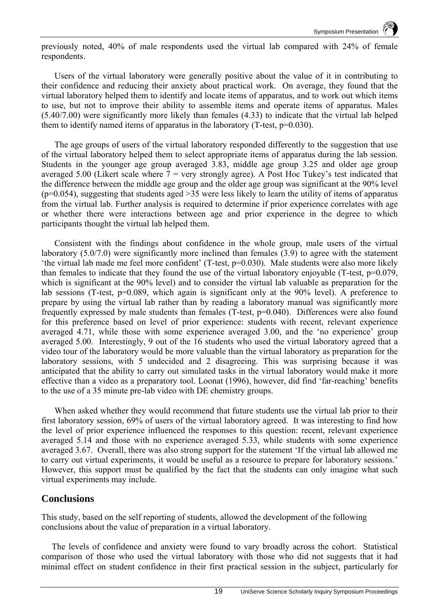previously noted, 40% of male respondents used the virtual lab compared with 24% of female respondents.

Users of the virtual laboratory were generally positive about the value of it in contributing to their confidence and reducing their anxiety about practical work. On average, they found that the virtual laboratory helped them to identify and locate items of apparatus, and to work out which items to use, but not to improve their ability to assemble items and operate items of apparatus. Males (5.40/7.00) were significantly more likely than females (4.33) to indicate that the virtual lab helped them to identify named items of apparatus in the laboratory (T-test, p=0.030).

The age groups of users of the virtual laboratory responded differently to the suggestion that use of the virtual laboratory helped them to select appropriate items of apparatus during the lab session. Students in the younger age group averaged 3.83, middle age group 3.25 and older age group averaged 5.00 (Likert scale where  $7 =$  very strongly agree). A Post Hoc Tukey's test indicated that the difference between the middle age group and the older age group was significant at the 90% level  $(p=0.054)$ , suggesting that students aged  $>35$  were less likely to learn the utility of items of apparatus from the virtual lab. Further analysis is required to determine if prior experience correlates with age or whether there were interactions between age and prior experience in the degree to which participants thought the virtual lab helped them.

Consistent with the findings about confidence in the whole group, male users of the virtual laboratory (5.0/7.0) were significantly more inclined than females (3.9) to agree with the statement 'the virtual lab made me feel more confident' (T-test, p=0.030). Male students were also more likely than females to indicate that they found the use of the virtual laboratory enjoyable (T-test,  $p=0.079$ , which is significant at the 90% level) and to consider the virtual lab valuable as preparation for the lab sessions (T-test, p=0.089, which again is significant only at the 90% level). A preference to prepare by using the virtual lab rather than by reading a laboratory manual was significantly more frequently expressed by male students than females (T-test, p=0.040). Differences were also found for this preference based on level of prior experience: students with recent, relevant experience averaged 4.71, while those with some experience averaged 3.00, and the 'no experience' group averaged 5.00. Interestingly, 9 out of the 16 students who used the virtual laboratory agreed that a video tour of the laboratory would be more valuable than the virtual laboratory as preparation for the laboratory sessions, with 5 undecided and 2 disagreeing. This was surprising because it was anticipated that the ability to carry out simulated tasks in the virtual laboratory would make it more effective than a video as a preparatory tool. Loonat (1996), however, did find 'far-reaching' benefits to the use of a 35 minute pre-lab video with DE chemistry groups.

When asked whether they would recommend that future students use the virtual lab prior to their first laboratory session, 69% of users of the virtual laboratory agreed. It was interesting to find how the level of prior experience influenced the responses to this question: recent, relevant experience averaged 5.14 and those with no experience averaged 5.33, while students with some experience averaged 3.67. Overall, there was also strong support for the statement 'If the virtual lab allowed me to carry out virtual experiments, it would be useful as a resource to prepare for laboratory sessions.' However, this support must be qualified by the fact that the students can only imagine what such virtual experiments may include.

### **Conclusions**

This study, based on the self reporting of students, allowed the development of the following conclusions about the value of preparation in a virtual laboratory.

The levels of confidence and anxiety were found to vary broadly across the cohort. Statistical comparison of those who used the virtual laboratory with those who did not suggests that it had minimal effect on student confidence in their first practical session in the subject, particularly for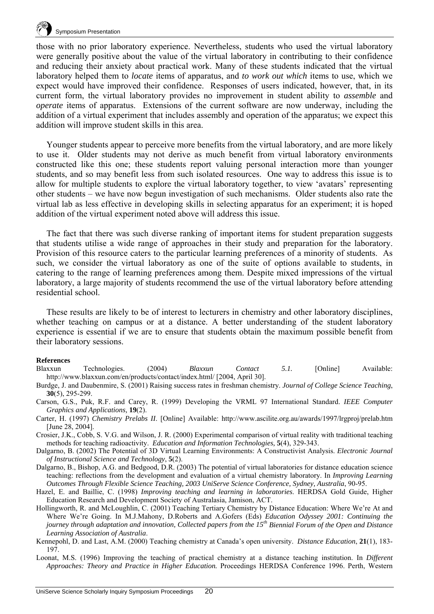

those with no prior laboratory experience. Nevertheless, students who used the virtual laboratory were generally positive about the value of the virtual laboratory in contributing to their confidence and reducing their anxiety about practical work. Many of these students indicated that the virtual laboratory helped them to *locate* items of apparatus, and *to work out which* items to use, which we expect would have improved their confidence. Responses of users indicated, however, that, in its current form, the virtual laboratory provides no improvement in student ability to *assemble* and *operate* items of apparatus. Extensions of the current software are now underway, including the addition of a virtual experiment that includes assembly and operation of the apparatus; we expect this addition will improve student skills in this area.

Younger students appear to perceive more benefits from the virtual laboratory, and are more likely to use it. Older students may not derive as much benefit from virtual laboratory environments constructed like this one; these students report valuing personal interaction more than younger students, and so may benefit less from such isolated resources. One way to address this issue is to allow for multiple students to explore the virtual laboratory together, to view 'avatars' representing other students – we have now begun investigation of such mechanisms. Older students also rate the virtual lab as less effective in developing skills in selecting apparatus for an experiment; it is hoped addition of the virtual experiment noted above will address this issue.

The fact that there was such diverse ranking of important items for student preparation suggests that students utilise a wide range of approaches in their study and preparation for the laboratory. Provision of this resource caters to the particular learning preferences of a minority of students. As such, we consider the virtual laboratory as one of the suite of options available to students, in catering to the range of learning preferences among them. Despite mixed impressions of the virtual laboratory, a large majority of students recommend the use of the virtual laboratory before attending residential school.

These results are likely to be of interest to lecturers in chemistry and other laboratory disciplines, whether teaching on campus or at a distance. A better understanding of the student laboratory experience is essential if we are to ensure that students obtain the maximum possible benefit from their laboratory sessions.

#### **References**

- Blaxxun Technologies. (2004) *Blaxxun Contact 5.1.* [Online] Available: http://www.blaxxun.com/en/products/contact/index.html/ [2004, April 30].
- Burdge, J. and Daubenmire, S. (2001) Raising success rates in freshman chemistry. *Journal of College Science Teaching*, **30**(5), 295-299.
- Carson, G.S., Puk, R.F. and Carey, R. (1999) Developing the VRML 97 International Standard. *IEEE Computer Graphics and Applications,* **19**(2).
- Carter, H. (1997) *Chemistry Prelabs II*. [Online] Available: http://www.ascilite.org.au/awards/1997/lrgproj/prelab.htm [June 28, 2004].
- Crosier, J.K., Cobb, S. V.G. and Wilson, J. R. (2000) Experimental comparison of virtual reality with traditional teaching methods for teaching radioactivity. *Education and Information Technologies,* **5**(4), 329-343.
- Dalgarno, B. (2002) The Potential of 3D Virtual Learning Environments: A Constructivist Analysis. *Electronic Journal of Instructional Science and Technology*, **5**(2).
- Dalgarno, B., Bishop, A.G. and Bedgood, D.R. (2003) The potential of virtual laboratories for distance education science teaching: reflections from the development and evaluation of a virtual chemistry laboratory. In *Improving Learning Outcomes Through Flexible Science Teaching, 2003 UniServe Science Conference, Sydney, Australia*, 90-95.
- Hazel, E. and Baillie, C. (1998) *Improving teaching and learning in laboratories*. HERDSA Gold Guide, Higher Education Research and Development Society of Australasia, Jamison, ACT.
- Hollingworth, R. and McLoughlin, C. (2001) Teaching Tertiary Chemistry by Distance Education: Where We're At and Where We're Going. In M.J.Mahony, D.Roberts and A.Gofers (Eds) *Education Odyssey 2001: Continuing the journey through adaptation and innovation, Collected papers from the 15th Biennial Forum of the Open and Distance Learning Association of Australia*.
- Kennepohl, D. and Last, A.M. (2000) Teaching chemistry at Canada's open university. *Distance Education*, **21**(1), 183- 197.
- Loonat, M.S. (1996) Improving the teaching of practical chemistry at a distance teaching institution. In *Different Approaches: Theory and Practice in Higher Education.* Proceedings HERDSA Conference 1996. Perth, Western